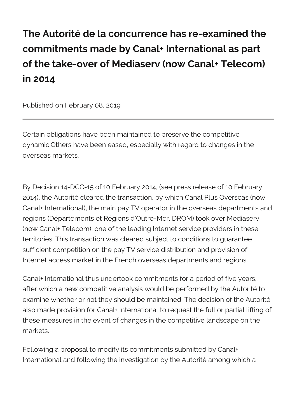The Autorité de la concurrence has re-e commitments made by Canal+ Internation of the take-over of Mediaserv (now Can in 2014

Published on February 08, 2019

Certain obligations have been maintained to preserve the dynamic. Others have been eased, especially with regard overseas markets.

By Decision 14-DCC-15 of 10 Fepbrreussery e21044e (osfe  $60$  Febru [201](https://www.autoritedelaconcurrence.fr/en/communiques-de-presse/10-february-2014-telecomsmedia-martinique-guadeloupe-guiana-reunion))4 th Autorical the transaction, by which Canal Plus Canal+ International), the main pay TV operator in the overseas region $\square$ sé partements et Régions, d $\square$ OR $\square$ CMe) - Mexork over Mediase (now Canal+ Telecom), one of the leading Internet servid territories. This transaction was cleared subject to condi sufficient competition on the pay TV service distribution Internet access market in the French overseas department

Canal+ International thus undertook commitments for a p after which a new competitive analysis would uberpteerformed after examine whether or not they should be maintai Autorithée d also made provision for Canal+ International to request t these measures in the event of changes in the competitive markets.

Following a proposal to modify its commitments submitte International and following the in $A$ usto rigitation by the a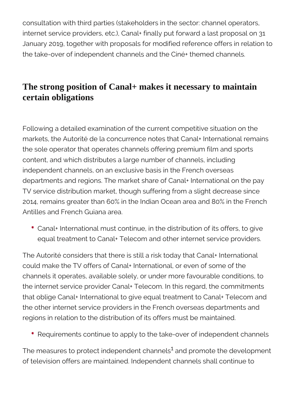consultation with third parties (stakeholders in the sector: channel operators, internet service providers, etc.), Canal+ finally put forward a last proposal on 31 January 2019, together with proposals for modified reference offers in relation to the take-over of independent channels and the Ciné+ themed channels.

## **The strong position of Canal+ makes it necessary to maintain certain obligations**

Following a detailed examination of the current competitive situation on the markets, the Autorité de la concurrence notes that Canal+ International remains the sole operator that operates channels offering premium film and sports content, and which distributes a large number of channels, including independent channels, on an exclusive basis in the French overseas departments and regions. The market share of Canal+ International on the pay TV service distribution market, though suffering from a slight decrease since 2014, remains greater than 60% in the Indian Ocean area and 80% in the French Antilles and French Guiana area.

Canal+ International must continue, in the distribution of its offers, to give equal treatment to Canal+ Telecom and other internet service providers.

The Autorité considers that there is still a risk today that Canal+ International could make the TV offers of Canal+ International, or even of some of the channels it operates, available solely, or under more favourable conditions, to the internet service provider Canal+ Telecom. In this regard, the commitments that oblige Canal+ International to give equal treatment to Canal+ Telecom and the other internet service providers in the French overseas departments and regions in relation to the distribution of its offers must be maintained.

• Requirements continue to apply to the take-over of independent channels

The measures to protect independent channels $^{\rm 1}$  and promote the development of television offers are maintained. Independent channels shall continue to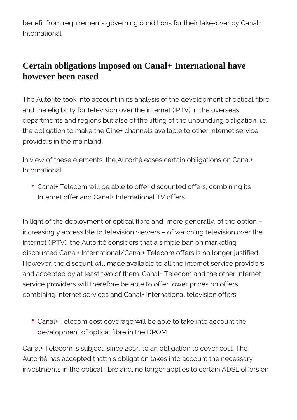benefit from requirements governing conditions for their take-over by Canal+ International.

## **Certain obligations imposed on Canal+ International have however been eased**

The Autorité took into account in its analysis of the development of optical fibre and the eligibility for television over the internet (IPTV) in the overseas departments and regions but also of the lifting of the unbundling obligation, i.e. the obligation to make the Ciné+ channels available to other internet service providers in the mainland.

In view of these elements, the Autorité eases certain obligations on Canal+ International

Canal+ Telecom will be able to offer discounted offers, combining its Internet offer and Canal+ International TV offers

In light of the deployment of optical fibre and, more generally, of the option – increasingly accessible to television viewers – of watching television over the internet (IPTV), the Autorité considers that a simple ban on marketing discounted Canal+ International/Canal+ Telecom offers is no longer justified. However, the discount will made available to all the internet service providers and accepted by at least two of them. Canal+ Telecom and the other internet service providers will therefore be able to offer lower prices on offers combining internet services and Canal+ International television offers.

Canal+ Telecom cost coverage will be able to take into account the development of optical fibre in the DROM

Canal+ Telecom is subject, since 2014, to an obligation to cover cost. The Autorité has accepted thatthis obligation takes into account the necessary investments in the optical fibre and, no longer applies to certain ADSL offers on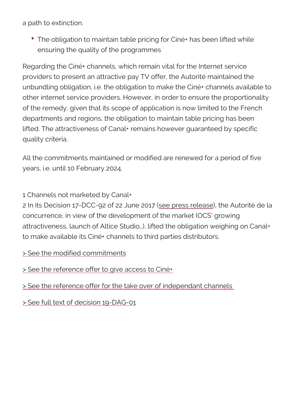a path to extinction.

• The obligation to maintain table pricing for Ciné+ has ensuring the quality of the programmes

Regarding the Ciné+ channels, which remain vital for the providers to present an attractive Autorination fation edhible unbundling obligation, i.e. the obligation to make the Cin other internet service providers. However, in order to en of the remedy, given that its scope of application is now departments and regions, the obligation to maintain table lifted. The attractiveness of Canal+ remains however gua quality criteria.

All the commitments maintained or modified are renewed years, i.e. until 10 February 2024.

1 Channels not marketed by Canal+

2 In its Decision 17-DCC-92 soefe2 pardes net @21 (@ethan Zee Autorité de concurrence, in view of the development of the market (C attractiveness, launch of Altice Studio&), lifted the oblig to make available its Ciné+ channels to third parties dist

[> See the modified co](https://www.autoritedelaconcurrence.fr/sites/default/files/engagements19dag01.pdf)mmitments

[> See the reference offer to giv](https://www.autoritedelaconcurrence.fr/sites/default/files/offre_refchaines_cine_drom_14dcc15_rev.pdf)e access to Ciné+

[> See the reference offer for the take over o](https://www.autoritedelaconcurrence.fr/sites/default/files/offre_refchaines_inde19dag01_14dcc15_rev.pdf)f independant channels

[> See full text of decisi](https://www.autoritedelaconcurrence.fr/sites/default/files/19dag01_versionpubliee.pdf)on 19-DAG-01